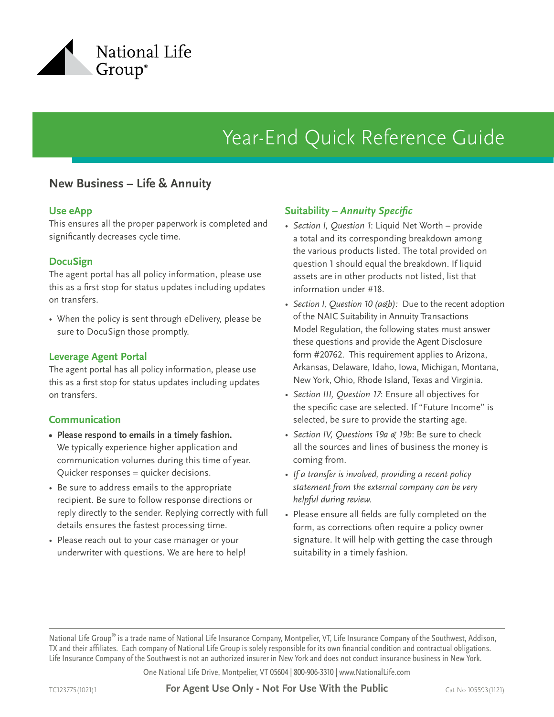

# Year-End Quick Reference Guide

## **New Business – Life & Annuity**

#### **Use eApp**

This ensures all the proper paperwork is completed and significantly decreases cycle time.

### **DocuSign**

The agent portal has all policy information, please use this as a first stop for status updates including updates on transfers.

• When the policy is sent through eDelivery, please be sure to DocuSign those promptly.

#### **Leverage Agent Portal**

The agent portal has all policy information, please use this as a first stop for status updates including updates on transfers.

#### **Communication**

- **• Please respond to emails in a timely fashion.**  We typically experience higher application and communication volumes during this time of year. Quicker responses = quicker decisions.
- Be sure to address emails to the appropriate recipient. Be sure to follow response directions or reply directly to the sender. Replying correctly with full details ensures the fastest processing time.
- Please reach out to your case manager or your underwriter with questions. We are here to help!

### **Suitability –** *Annuity Specific*

- *• Section I, Question 1*: Liquid Net Worth provide a total and its corresponding breakdown among the various products listed. The total provided on question 1 should equal the breakdown. If liquid assets are in other products not listed, list that information under #18.
- *• Section I, Question 10 (a&b):* Due to the recent adoption of the NAIC Suitability in Annuity Transactions Model Regulation, the following states must answer these questions and provide the Agent Disclosure form #20762. This requirement applies to Arizona, Arkansas, Delaware, Idaho, Iowa, Michigan, Montana, New York, Ohio, Rhode Island, Texas and Virginia.
- *• Section III, Question 17*: Ensure all objectives for the specific case are selected. If "Future Income" is selected, be sure to provide the starting age.
- *• Section IV, Questions 19a & 19b*: Be sure to check all the sources and lines of business the money is coming from.
- *• If a transfer is involved, providing a recent policy statement from the external company can be very helpful during review.*
- Please ensure all fields are fully completed on the form, as corrections often require a policy owner signature. It will help with getting the case through suitability in a timely fashion.

National Life Group® is a trade name of National Life Insurance Company, Montpelier, VT, Life Insurance Company of the Southwest, Addison, TX and their affiliates. Each company of National Life Group is solely responsible for its own financial condition and contractual obligations. Life Insurance Company of the Southwest is not an authorized insurer in New York and does not conduct insurance business in New York.

One National Life Drive, Montpelier, VT 05604 | 800-906-3310 | www.NationalLife.com

TC123775(1021)1 **For Agent Use Only - Not For Use With the Public** Cat No 105593(1121)